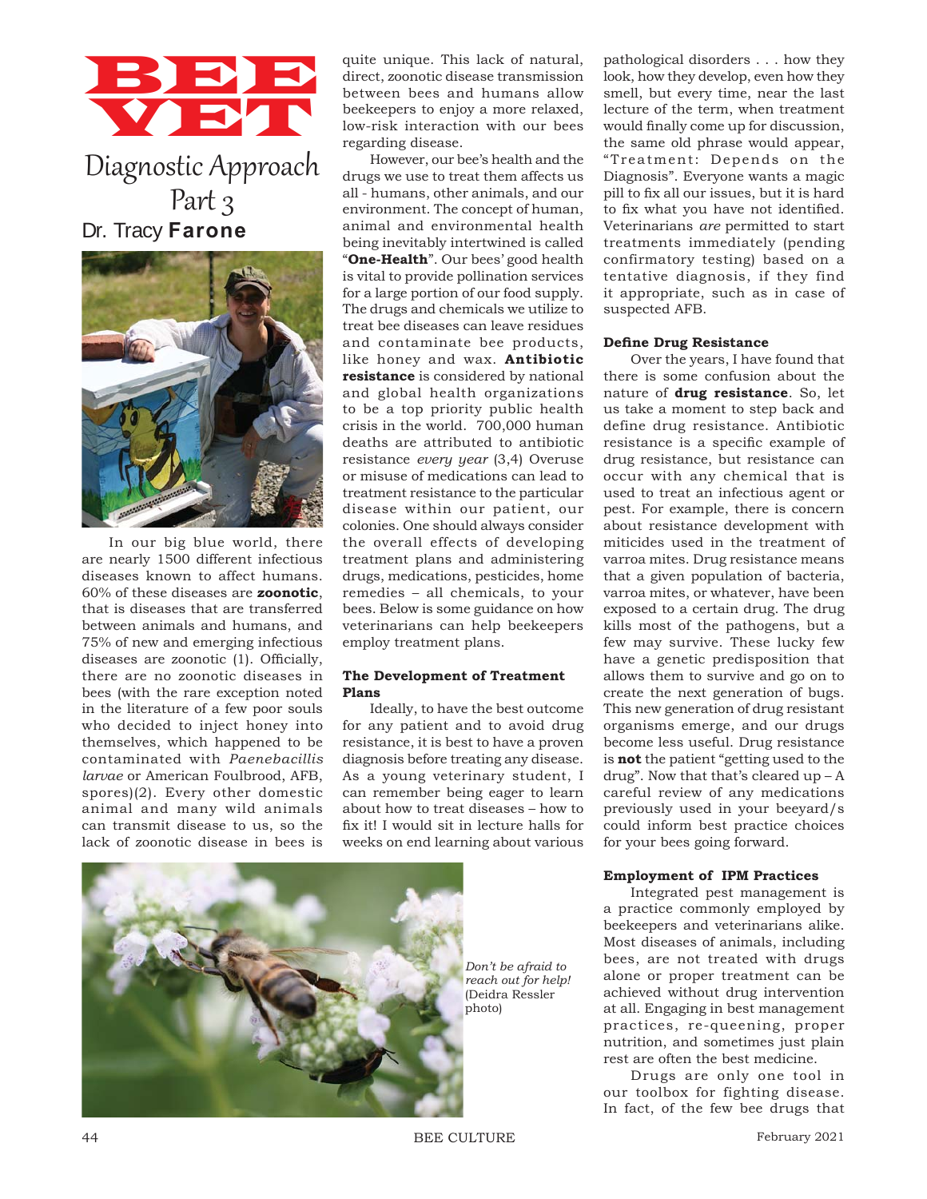# BBB VET

Diagnostic Approach Part 3 Dr. Tracy **Farone**



In our big blue world, there are nearly 1500 different infectious diseases known to affect humans. 60% of these diseases are **zoonotic**, that is diseases that are transferred between animals and humans, and 75% of new and emerging infectious diseases are zoonotic (1). Officially, there are no zoonotic diseases in bees (with the rare exception noted in the literature of a few poor souls who decided to inject honey into themselves, which happened to be contaminated with *Paenebacillis larvae* or American Foulbrood, AFB, spores)(2). Every other domestic animal and many wild animals can transmit disease to us, so the lack of zoonotic disease in bees is

quite unique. This lack of natural, direct, zoonotic disease transmission between bees and humans allow beekeepers to enjoy a more relaxed, low-risk interaction with our bees regarding disease.

However, our bee's health and the drugs we use to treat them affects us all - humans, other animals, and our environment. The concept of human, animal and environmental health being inevitably intertwined is called "**One-Health**". Our bees' good health is vital to provide pollination services for a large portion of our food supply. The drugs and chemicals we utilize to treat bee diseases can leave residues and contaminate bee products, like honey and wax. **Antibiotic resistance** is considered by national and global health organizations to be a top priority public health crisis in the world. 700,000 human deaths are attributed to antibiotic resistance *every year* (3,4) Overuse or misuse of medications can lead to treatment resistance to the particular disease within our patient, our colonies. One should always consider the overall effects of developing treatment plans and administering drugs, medications, pesticides, home remedies – all chemicals, to your bees. Below is some guidance on how veterinarians can help beekeepers employ treatment plans.

## **The Development of Treatment Plans**

Ideally, to have the best outcome for any patient and to avoid drug resistance, it is best to have a proven diagnosis before treating any disease. As a young veterinary student, I can remember being eager to learn about how to treat diseases – how to fix it! I would sit in lecture halls for weeks on end learning about various



pathological disorders . . . how they look, how they develop, even how they smell, but every time, near the last lecture of the term, when treatment would finally come up for discussion, the same old phrase would appear, "Treatment: Depends on the Diagnosis". Everyone wants a magic pill to fix all our issues, but it is hard to fix what you have not identified. Veterinarians *are* permitted to start treatments immediately (pending confirmatory testing) based on a tentative diagnosis, if they find it appropriate, such as in case of suspected AFB.

## **Define Drug Resistance**

Over the years, I have found that there is some confusion about the nature of **drug resistance**. So, let us take a moment to step back and define drug resistance. Antibiotic resistance is a specific example of drug resistance, but resistance can occur with any chemical that is used to treat an infectious agent or pest. For example, there is concern about resistance development with miticides used in the treatment of varroa mites. Drug resistance means that a given population of bacteria, varroa mites, or whatever, have been exposed to a certain drug. The drug kills most of the pathogens, but a few may survive. These lucky few have a genetic predisposition that allows them to survive and go on to create the next generation of bugs. This new generation of drug resistant organisms emerge, and our drugs become less useful. Drug resistance is **not** the patient "getting used to the drug". Now that that's cleared  $up - A$ careful review of any medications previously used in your beeyard/s could inform best practice choices for your bees going forward.

## **Employment of IPM Practices**

Integrated pest management is a practice commonly employed by beekeepers and veterinarians alike. Most diseases of animals, including bees, are not treated with drugs alone or proper treatment can be achieved without drug intervention at all. Engaging in best management practices, re-queening, proper nutrition, and sometimes just plain rest are often the best medicine.

Drugs are only one tool in our toolbox for fighting disease. In fact, of the few bee drugs that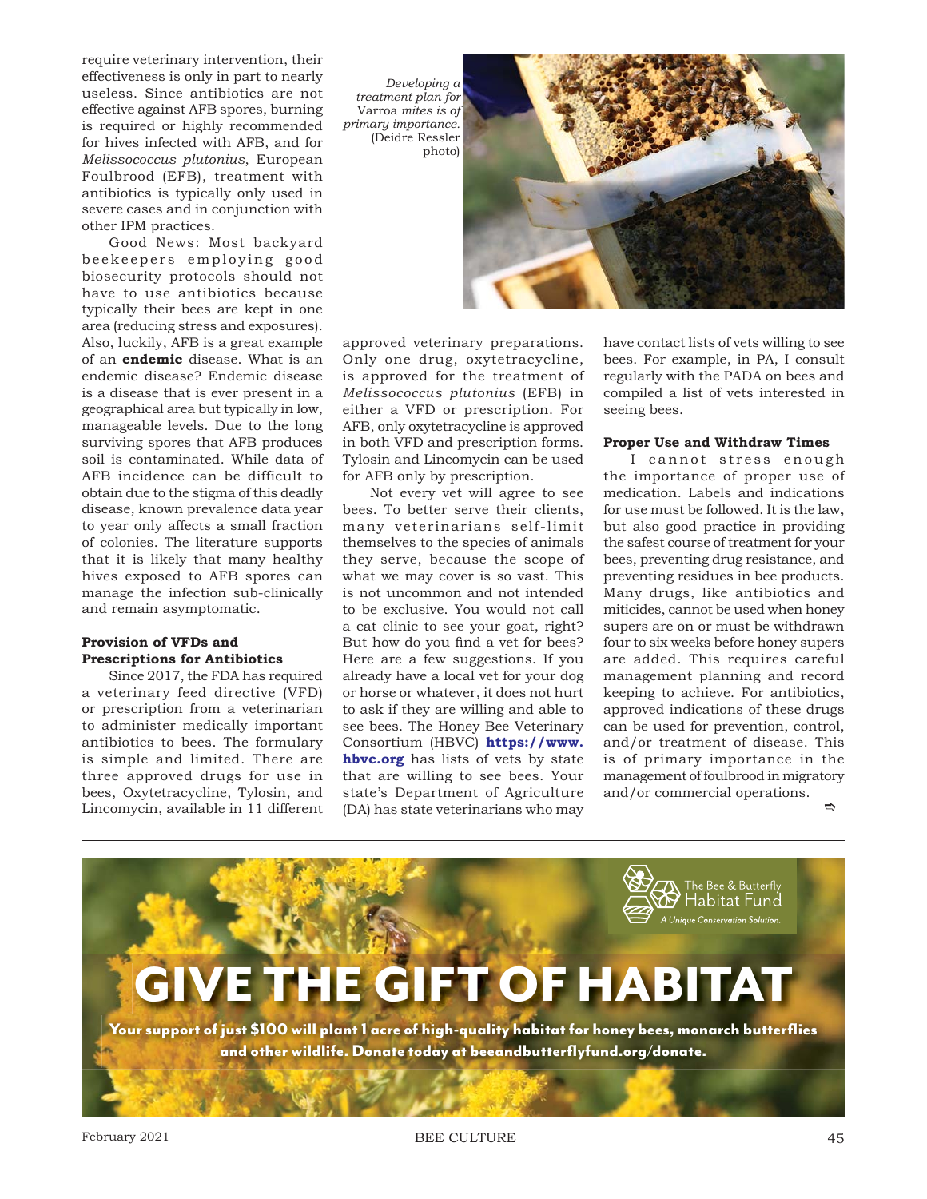require veterinary intervention, their effectiveness is only in part to nearly useless. Since antibiotics are not effective against AFB spores, burning is required or highly recommended for hives infected with AFB, and for *Melissococcus plutonius*, European Foulbrood (EFB), treatment with antibiotics is typically only used in severe cases and in conjunction with other IPM practices.

Good News: Most backyard beekeepers employing good biosecurity protocols should not have to use antibiotics because typically their bees are kept in one area (reducing stress and exposures). Also, luckily, AFB is a great example of an **endemic** disease. What is an endemic disease? Endemic disease is a disease that is ever present in a geographical area but typically in low, manageable levels. Due to the long surviving spores that AFB produces soil is contaminated. While data of AFB incidence can be difficult to obtain due to the stigma of this deadly disease, known prevalence data year to year only affects a small fraction of colonies. The literature supports that it is likely that many healthy hives exposed to AFB spores can manage the infection sub-clinically and remain asymptomatic.

# **Provision of VFDs and Prescriptions for Antibiotics**

Since 2017, the FDA has required a veterinary feed directive (VFD) or prescription from a veterinarian to administer medically important antibiotics to bees. The formulary is simple and limited. There are three approved drugs for use in bees, Oxytetracycline, Tylosin, and Lincomycin, available in 11 different

*Developing a treatment plan for*  Varroa *mites is of primary importance.*  (Deidre Ressler photo)



approved veterinary preparations. Only one drug, oxytetracycline, is approved for the treatment of *Melissococcus plutonius* (EFB) in either a VFD or prescription. For AFB, only oxytetracycline is approved in both VFD and prescription forms. Tylosin and Lincomycin can be used for AFB only by prescription.

Not every vet will agree to see bees. To better serve their clients, many veterinarians self-limit themselves to the species of animals they serve, because the scope of what we may cover is so vast. This is not uncommon and not intended to be exclusive. You would not call a cat clinic to see your goat, right? But how do you find a vet for bees? Here are a few suggestions. If you already have a local vet for your dog or horse or whatever, it does not hurt to ask if they are willing and able to see bees. The Honey Bee Veterinary Consortium (HBVC) **https://www. hbvc.org** has lists of vets by state that are willing to see bees. Your state's Department of Agriculture (DA) has state veterinarians who may have contact lists of vets willing to see bees. For example, in PA, I consult regularly with the PADA on bees and compiled a list of vets interested in seeing bees.

## **Proper Use and Withdraw Times**

 $\Rightarrow$ I cannot stress enough the importance of proper use of medication. Labels and indications for use must be followed. It is the law, but also good practice in providing the safest course of treatment for your bees, preventing drug resistance, and preventing residues in bee products. Many drugs, like antibiotics and miticides, cannot be used when honey supers are on or must be withdrawn four to six weeks before honey supers are added. This requires careful management planning and record keeping to achieve. For antibiotics, approved indications of these drugs can be used for prevention, control, and/or treatment of disease. This is of primary importance in the management of foulbrood in migratory and/or commercial operations.